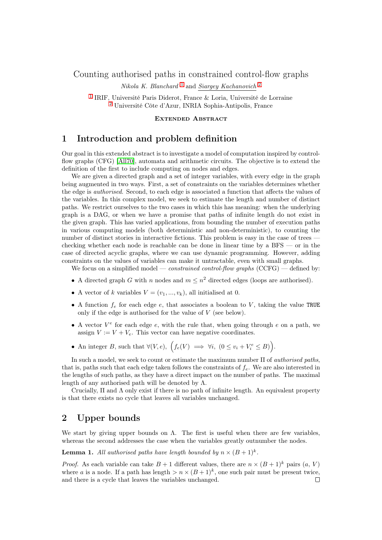<span id="page-0-0"></span>Counting authorised paths in constrained control-flow graphs

Nikola K. Blanchard<sup>[1](#page-0-0)</sup> and Siargey Kachanovich<sup>[2](#page-0-1)</sup>

<span id="page-0-1"></span>[1](#page-0-0) IRIF, Université Paris Diderot, France & Loria, Université de Lorraine  $\overset{2}{2}$  $\overset{2}{2}$  $\overset{2}{2}$ Université Côte d'Azur, INRIA Sophia-Antipolis, France

Extended Abstract

## 1 Introduction and problem definition

Our goal in this extended abstract is to investigate a model of computation inspired by controlflow graphs (CFG) [\[All70\]](#page-3-0), automata and arithmetic circuits. The objective is to extend the definition of the first to include computing on nodes and edges.

We are given a directed graph and a set of integer variables, with every edge in the graph being augmented in two ways. First, a set of constraints on the variables determines whether the edge is authorised. Second, to each edge is associated a function that affects the values of the variables. In this complex model, we seek to estimate the length and number of distinct paths. We restrict ourselves to the two cases in which this has meaning: when the underlying graph is a DAG, or when we have a promise that paths of infinite length do not exist in the given graph. This has varied applications, from bounding the number of execution paths in various computing models (both deterministic and non-deterministic), to counting the number of distinct stories in interactive fictions. This problem is easy in the case of trees checking whether each node is reachable can be done in linear time by a BFS — or in the case of directed acyclic graphs, where we can use dynamic programming. However, adding constraints on the values of variables can make it untractable, even with small graphs.

We focus on a simplified model — *constrained control-flow graphs* (CCFG) — defined by:

- A directed graph G with n nodes and  $m \leq n^2$  directed edges (loops are authorised).
- A vector of k variables  $V = (v_1, ..., v_k)$ , all initialised at 0.
- A function  $f_e$  for each edge  $e$ , that associates a boolean to V, taking the value TRUE only if the edge is authorised for the value of V (see below).
- A vector  $V^e$  for each edge  $e$ , with the rule that, when going through  $e$  on a path, we assign  $V := V + V_e$ . This vector can have negative coordinates.
- An integer B, such that  $\forall (V, e), \ (f_e(V) \implies \forall i, \ (0 \le v_i + V_i^e \le B)).$

In such a model, we seek to count or estimate the maximum number  $\Pi$  of *authorised paths*, that is, paths such that each edge taken follows the constraints of  $f_e$ . We are also interested in the lengths of such paths, as they have a direct impact on the number of paths. The maximal length of any authorised path will be denoted by  $\Lambda$ .

Crucially,  $\Pi$  and  $\Lambda$  only exist if there is no path of infinite length. An equivalent property is that there exists no cycle that leaves all variables unchanged.

# 2 Upper bounds

We start by giving upper bounds on  $\Lambda$ . The first is useful when there are few variables, whereas the second addresses the case when the variables greatly outnumber the nodes.

<span id="page-0-2"></span>**Lemma 1.** All authorised paths have length bounded by  $n \times (B+1)^k$ .

*Proof.* As each variable can take  $B + 1$  different values, there are  $n \times (B + 1)^k$  pairs  $(a, V)$ where a is a node. If a path has length  $>n \times (B+1)^k$ , one such pair must be present twice, and there is a cycle that leaves the variables unchanged. $\Box$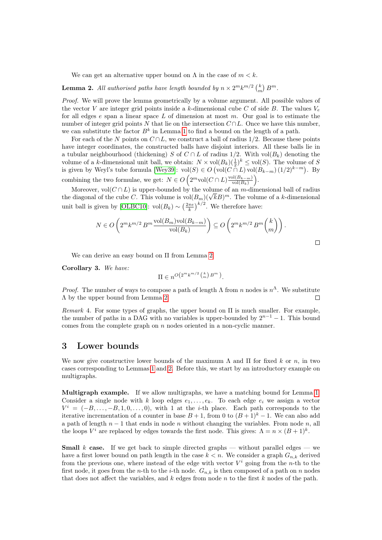We can get an alternative upper bound on  $\Lambda$  in the case of  $m < k$ .

<span id="page-1-0"></span>**Lemma 2.** All authorised paths have length bounded by  $n \times 2^m k^{m/2} \binom{k}{m} B^m$ .

Proof. We will prove the lemma geometrically by a volume argument. All possible values of the vector V are integer grid points inside a k-dimensional cube C of side B. The values  $V_e$ for all edges  $e$  span a linear space L of dimension at most  $m$ . Our goal is to estimate the number of integer grid points N that lie on the intersection  $C \cap L$ . Once we have this number, we can substitute the factor  $B^k$  in Lemma [1](#page-0-2) to find a bound on the length of a path.

For each of the N points on  $C \cap L$ , we construct a ball of radius 1/2. Because these points have integer coordinates, the constructed balls have disjoint interiors. All these balls lie in a tubular neighbourhood (thickening) S of  $C \cap L$  of radius 1/2. With vol $(B_k)$  denoting the volume of a k-dimensional unit ball, we obtain:  $N \times \text{vol}(B_k)(\frac{1}{2})^k \leq \text{vol}(S)$ . The volume of S is given by Weyl's tube formula [\[Wey39\]](#page-3-1):  $vol(S) \in O \left( vol(C \cap L) vol(B_{k-m}) \left(1/2\right)^{k-m} \right)$ . By combining the two formulae, we get:  $N \in O\left(2^m \text{vol}(C \cap L) \frac{\text{vol}(B_{k-m})}{\text{vol}(B_k)}\right)$  $\frac{\operatorname{pl}(B_{k-m})}{\operatorname{vol}(B_k)}\bigg).$ 

Moreover, vol $(C \cap L)$  is upper-bounded by the volume of an m-dimensional ball of radius Moreover, vol( $C \cap L$ ) is upper-bounded by the volume of an m-dimensional ball of radius<br>the diagonal of the cube C. This volume is  $vol(B_m)(\sqrt{k}B)^m$ . The volume of a k-dimensional unit ball is given by [\[OLBC10\]](#page-3-2): vol $(B_k) \sim \left(\frac{2\pi e}{k}\right)^{k/2}$ . We therefore have:

$$
N \in O\left(2^m k^{m/2} B^m \frac{\text{vol}(B_m)\text{vol}(B_{k-m})}{\text{vol}(B_k)}\right) \subseteq O\left(2^m k^{m/2} B^m \binom{k}{m}\right).
$$

We can derive an easy bound on Π from Lemma [2.](#page-1-0)

Corollary 3. We have:

$$
\Pi \in n^{O\left(2^m k^{m/2} \binom{k}{m} B^m\right)}.
$$

*Proof.* The number of ways to compose a path of length  $\Lambda$  from n nodes is  $n^{\Lambda}$ . We substitute Λ by the upper bound from Lemma [2.](#page-1-0)  $\Box$ 

Remark 4. For some types of graphs, the upper bound on  $\Pi$  is much smaller. For example, the number of paths in a DAG with no variables is upper-bounded by  $2^{n-1} - 1$ . This bound comes from the complete graph on  $n$  nodes oriented in a non-cyclic manner.

#### 3 Lower bounds

We now give constructive lower bounds of the maximum  $\Lambda$  and  $\Pi$  for fixed k or n, in two cases corresponding to Lemmas [1](#page-0-2) and [2.](#page-1-0) Before this, we start by an introductory example on multigraphs.

Multigraph example. If we allow multigraphs, we have a matching bound for Lemma [1.](#page-0-2) Consider a single node with k loop edges  $e_1, \ldots, e_k$ . To each edge  $e_i$  we assign a vector  $V^i = (-B, \ldots, -B, 1, 0, \ldots, 0)$ , with 1 at the *i*-th place. Each path corresponds to the iterative incrementation of a counter in base  $B + 1$ , from 0 to  $(B + 1)^{k} - 1$ . We can also add a path of length  $n-1$  that ends in node n without changing the variables. From node n, all the loops  $V^i$  are replaced by edges towards the first node. This gives:  $\Lambda = n \times (B+1)^k$ .

**Small** k case. If we get back to simple directed graphs — without parallel edges — we have a first lower bound on path length in the case  $k < n$ . We consider a graph  $G_{n,k}$  derived from the previous one, where instead of the edge with vector  $V^i$  going from the *n*-th to the first node, it goes from the *n*-th to the *i*-th node.  $G_{n,k}$  is then composed of a path on *n* nodes that does not affect the variables, and  $k$  edges from node  $n$  to the first  $k$  nodes of the path.

 $\Box$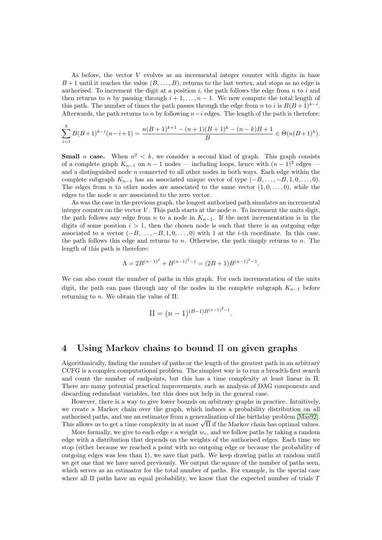As before, the vector V evolves as an incremental integer counter with digits in base  $B+1$  until it reaches the value  $(B, \ldots, B)$ , returns to the last vertex, and stops as no edge is authorised. To increment the digit at a position  $i$ , the path follows the edge from  $n$  to  $i$  and then returns to n by passing through  $i + 1, \ldots, n - 1$ . We now compute the total length of this path. The number of times the path passes through the edge from n to i is  $B(B+1)^{k-i}$ . Afterwards, the path returns to n by following  $n-i$  edges. The length of the path is therefore:

$$
\sum_{i=1}^{k} B(B+1)^{k-i}(n-i+1) = \frac{n(B+1)^{k+1} - (n+1)(B+1)^k - (n-k)B + 1}{B} \in \Theta(n(B+1)^k).
$$

**Small** *n* case. When  $n^2 < k$ , we consider a second kind of graph. This graph consists of a complete graph  $K_{n-1}$  on  $n-1$  nodes — including loops, hence with  $(n-1)^2$  edges and a distinguished node  $n$  connected to all other nodes in both ways. Each edge within the complete subgraph  $K_{n-1}$  has an associated unique vector of type  $(-B, \ldots, -B, 1, 0, \ldots, 0)$ . The edges from n to other nodes are associated to the same vector  $(1, 0, \ldots, 0)$ , while the edges to the node  $n$  are associated to the zero vector.

As was the case in the previous graph, the longest authorised path simulates an incremental integer counter on the vector V. This path starts at the node  $n$ . To increment the units digit, the path follows any edge from n to a node in  $K_{n-1}$ . If the next incrementation is in the digits of some position  $i > 1$ , then the chosen node is such that there is an outgoing edge associated to a vector  $(-B, \ldots, -B, 1, 0, \ldots, 0)$  with 1 at the *i*-th coordinate. In this case, the path follows this edge and returns to n. Otherwise, the path simply returns to n. The length of this path is therefore:

$$
\Lambda = 2B^{(n-1)^2} + B^{(n-1)^2 - 1} = (2B + 1)B^{(n-1)^2 - 1}.
$$

We can also count the number of paths in this graph. For each incrementation of the units digit, the path can pass through any of the nodes in the complete subgraph  $K_{n-1}$  before returning to *n*. We obtain the value of  $\Pi$ :

$$
\Pi = (n-1)^{(B-1)B^{(n-1)^2-1}}.
$$

#### 4 Using Markov chains to bound Π on given graphs

Algorithmically, finding the number of paths or the length of the greatest path in an arbitrary CCFG is a complex computational problem. The simplest way is to run a breadth-first search and count the number of endpoints, but this has a time complexity at least linear in Π. There are many potential practical improvements, such as analysis of DAG components and discarding redundant variables, but this does not help in the general case.

However, there is a way to give lower bounds on arbitrary graphs in practice. Intuitively, we create a Markov chain over the graph, which induces a probability distribution on all authorised paths, and use an estimator from a generalisation of the birthday problem [\[Mas92\]](#page-3-3). authorised paths, and use an estimator from a generalisation of the birthday problem [Mas92].<br>This allows us to get a time complexity in at most  $\sqrt{\Pi}$  if the Markov chain has optimal values.

More formally, we give to each edge e a weight  $w_e$ , and we follow paths by taking a random edge with a distribution that depends on the weights of the authorised edges. Each time we stop (either because we reached a point with no outgoing edge or because the probability of outgoing edges was less than 1), we save that path. We keep drawing paths at random until we get one that we have saved previously. We output the square of the number of paths seen, which serves as an estimator for the total number of paths. For example, in the special case where all  $\Pi$  paths have an equal probability, we know that the expected number of trials  $T$